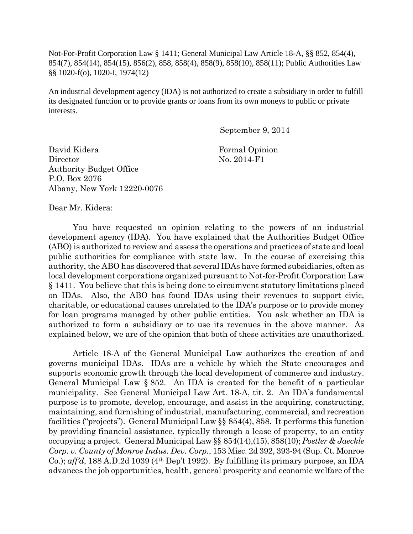Not-For-Profit Corporation Law § 1411; General Municipal Law Article 18-A, §§ 852, 854(4), 854(7), 854(14), 854(15), 856(2), 858, 858(4), 858(9), 858(10), 858(11); Public Authorities Law §§ 1020-f(o), 1020-I, 1974(12)

An industrial development agency (IDA) is not authorized to create a subsidiary in order to fulfill its designated function or to provide grants or loans from its own moneys to public or private interests.

September 9, 2014

David Kidera **Formal Opinion** Director No. 2014-F1 Authority Budget Office P.O. Box 2076 Albany, New York 12220-0076

Dear Mr. Kidera:

You have requested an opinion relating to the powers of an industrial development agency (IDA). You have explained that the Authorities Budget Office (ABO) is authorized to review and assess the operations and practices of state and local public authorities for compliance with state law. In the course of exercising this authority, the ABO has discovered that several IDAs have formed subsidiaries, often as local development corporations organized pursuant to Not-for-Profit Corporation Law § 1411. You believe that this is being done to circumvent statutory limitations placed on IDAs. Also, the ABO has found IDAs using their revenues to support civic, charitable, or educational causes unrelated to the IDA's purpose or to provide money for loan programs managed by other public entities. You ask whether an IDA is authorized to form a subsidiary or to use its revenues in the above manner. As explained below, we are of the opinion that both of these activities are unauthorized.

Article 18-A of the General Municipal Law authorizes the creation of and governs municipal IDAs. IDAs are a vehicle by which the State encourages and supports economic growth through the local development of commerce and industry. General Municipal Law § 852. An IDA is created for the benefit of a particular municipality. See General Municipal Law Art. 18-A, tit. 2. An IDA's fundamental purpose is to promote, develop, encourage, and assist in the acquiring, constructing, maintaining, and furnishing of industrial, manufacturing, commercial, and recreation facilities ("projects"). General Municipal Law §§ 854(4), 858. It performs this function by providing financial assistance, typically through a lease of property, to an entity occupying a project. General Municipal Law §§ 854(14),(15), 858(10); *Postler & Jaeckle Corp. v. County of Monroe Indus. Dev. Corp.*, 153 Misc. 2d 392, 393-94 (Sup. Ct. Monroe Co.); *aff'd*, 188 A.D.2d 1039 (4th Dep't 1992). By fulfilling its primary purpose, an IDA advances the job opportunities, health, general prosperity and economic welfare of the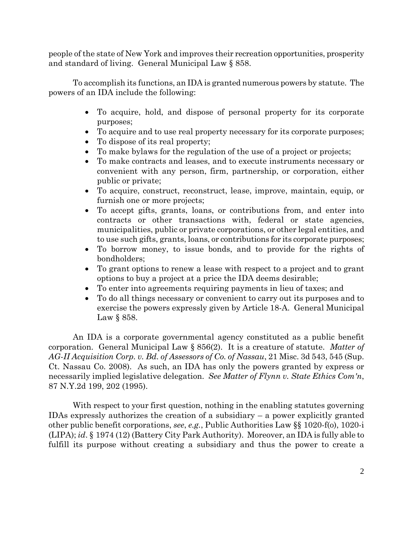people of the state of New York and improves their recreation opportunities, prosperity and standard of living. General Municipal Law § 858.

To accomplish its functions, an IDA is granted numerous powers by statute. The powers of an IDA include the following:

- To acquire, hold, and dispose of personal property for its corporate purposes;
- To acquire and to use real property necessary for its corporate purposes;
- To dispose of its real property;
- To make bylaws for the regulation of the use of a project or projects;
- To make contracts and leases, and to execute instruments necessary or convenient with any person, firm, partnership, or corporation, either public or private;
- To acquire, construct, reconstruct, lease, improve, maintain, equip, or furnish one or more projects;
- To accept gifts, grants, loans, or contributions from, and enter into contracts or other transactions with, federal or state agencies, municipalities, public or private corporations, or other legal entities, and to use such gifts, grants, loans, or contributions for its corporate purposes;
- To borrow money, to issue bonds, and to provide for the rights of bondholders;
- To grant options to renew a lease with respect to a project and to grant options to buy a project at a price the IDA deems desirable;
- To enter into agreements requiring payments in lieu of taxes; and
- To do all things necessary or convenient to carry out its purposes and to exercise the powers expressly given by Article 18-A. General Municipal Law § 858.

An IDA is a corporate governmental agency constituted as a public benefit corporation. General Municipal Law § 856(2). It is a creature of statute. *Matter of AG-II Acquisition Corp. v. Bd. of Assessors of Co. of Nassau*, 21 Misc. 3d 543, 545 (Sup. Ct. Nassau Co. 2008). As such, an IDA has only the powers granted by express or necessarily implied legislative delegation. *See Matter of Flynn v. State Ethics Com'n*, 87 N.Y.2d 199, 202 (1995).

With respect to your first question, nothing in the enabling statutes governing IDAs expressly authorizes the creation of a subsidiary – a power explicitly granted other public benefit corporations, *see*, *e.g.*, Public Authorities Law §§ 1020-f(o), 1020-i (LIPA); *id*. § 1974 (12) (Battery City Park Authority). Moreover, an IDA is fully able to fulfill its purpose without creating a subsidiary and thus the power to create a